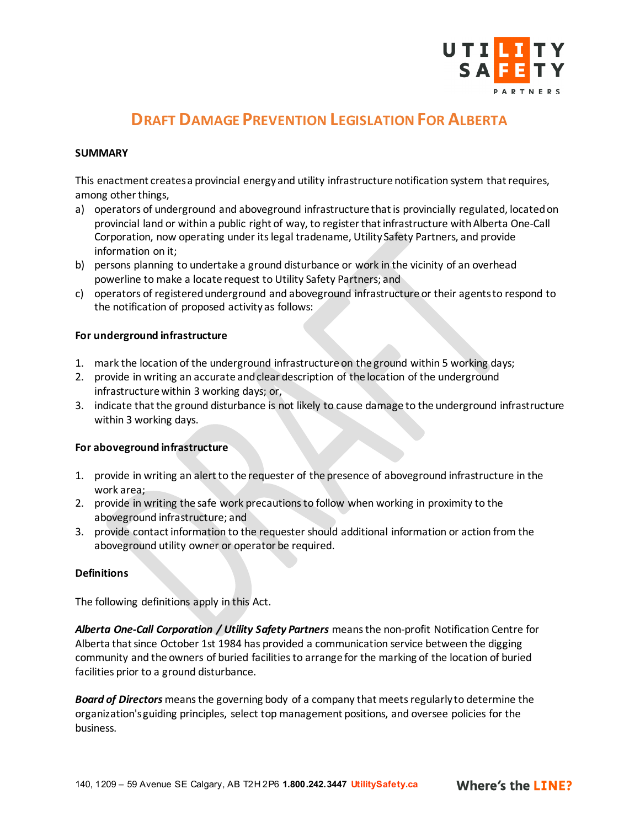

## **DRAFT DAMAGE PREVENTION LEGISLATION FOR ALBERTA**

#### **SUMMARY**

This enactment creates a provincial energy and utility infrastructure notification system that requires, among other things,

- a) operators of underground and aboveground infrastructure that is provincially regulated, located on provincial land or within a public right of way, to register that infrastructure with Alberta One-Call Corporation, now operating under its legal tradename, Utility Safety Partners, and provide information on it;
- b) persons planning to undertake a ground disturbance or work in the vicinity of an overhead powerline to make a locate request to Utility Safety Partners; and
- c) operators of registered underground and aboveground infrastructure or their agents to respond to the notification of proposed activity as follows:

## **For underground infrastructure**

- 1. mark the location of the underground infrastructure on the ground within 5 working days;
- 2. provide in writing an accurate and clear description of the location of the underground infrastructure within 3 working days; or,
- 3. indicate that the ground disturbance is not likely to cause damage to the underground infrastructure within 3 working days.

## **For aboveground infrastructure**

- 1. provide in writing an alert to the requester of the presence of aboveground infrastructure in the work area;
- 2. provide in writing the safe work precautions to follow when working in proximity to the aboveground infrastructure; and
- 3. provide contact information to the requester should additional information or action from the aboveground utility owner or operator be required.

#### **Definitions**

The following definitions apply in this Act.

*Alberta One-Call Corporation / Utility Safety Partners* means the non-profit Notification Centre for Alberta that since October 1st 1984 has provided a communication service between the digging community and the owners of buried facilities to arrange for the marking of the location of buried facilities prior to a ground disturbance.

*Board of Directors* means the governing body of a company that meets regularly to determine the organization's guiding principles, select top management positions, and oversee policies for the business.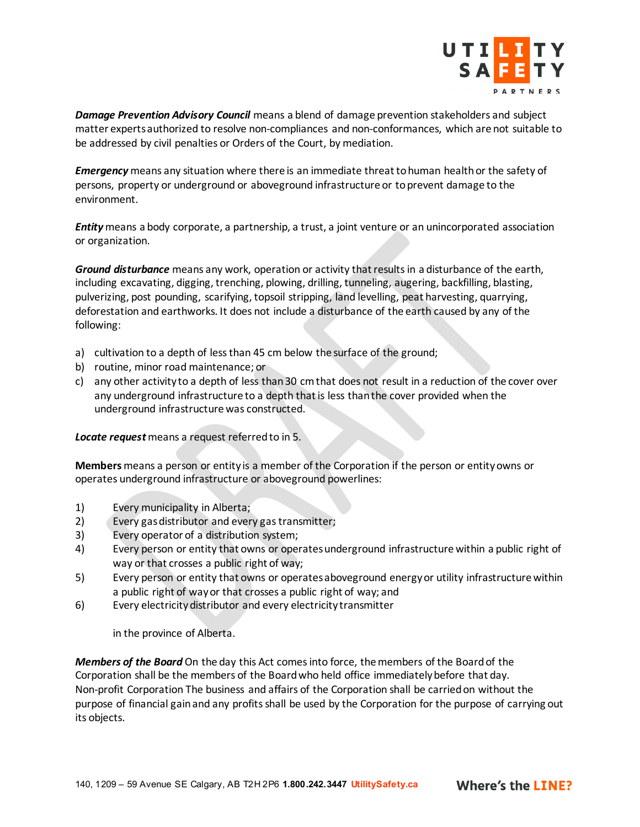

*Damage Prevention Advisory Council* means a blend of damage prevention stakeholders and subject matter experts authorized to resolve non-compliances and non-conformances, which are not suitable to be addressed by civil penalties or Orders of the Court, by mediation.

*Emergency* means any situation where there is an immediate threat to human health or the safety of persons, property or underground or aboveground infrastructure or to prevent damage to the environment.

*Entity* means a body corporate, a partnership, a trust, a joint venture or an unincorporated association or organization.

*Ground disturbance* means any work, operation or activity that results in a disturbance of the earth, including excavating, digging, trenching, plowing, drilling, tunneling, augering, backfilling, blasting, pulverizing, post pounding, scarifying, topsoil stripping, land levelling, peat harvesting, quarrying, deforestation and earthworks. It does not include a disturbance of the earth caused by any of the following:

- a) cultivation to a depth of less than 45 cm below the surface of the ground;
- b) routine, minor road maintenance; or
- c) any other activity to a depth of less than 30 cm that does not result in a reduction of the cover over any underground infrastructure to a depth that is less than the cover provided when the underground infrastructure was constructed.

#### *Locate request*means a request referred to in 5.

**Members** means a person or entity is a member of the Corporation if the person or entity owns or operates underground infrastructure or aboveground powerlines:

- 1) Every municipality in Alberta;
- 2) Every gas distributor and every gas transmitter;
- 3) Every operator of a distribution system;
- 4) Every person or entity that owns or operates underground infrastructure within a public right of way or that crosses a public right of way;
- 5) Every person or entity that owns or operates aboveground energy or utility infrastructure within a public right of way or that crosses a public right of way; and
- 6) Every electricity distributor and every electricity transmitter

in the province of Alberta.

*Members of the Board* On the day this Act comes into force, the members of the Board of the Corporation shall be the members of the Board who held office immediately before that day. Non-profit Corporation The business and affairs of the Corporation shall be carried on without the purpose of financial gain and any profits shall be used by the Corporation for the purpose of carrying out its objects.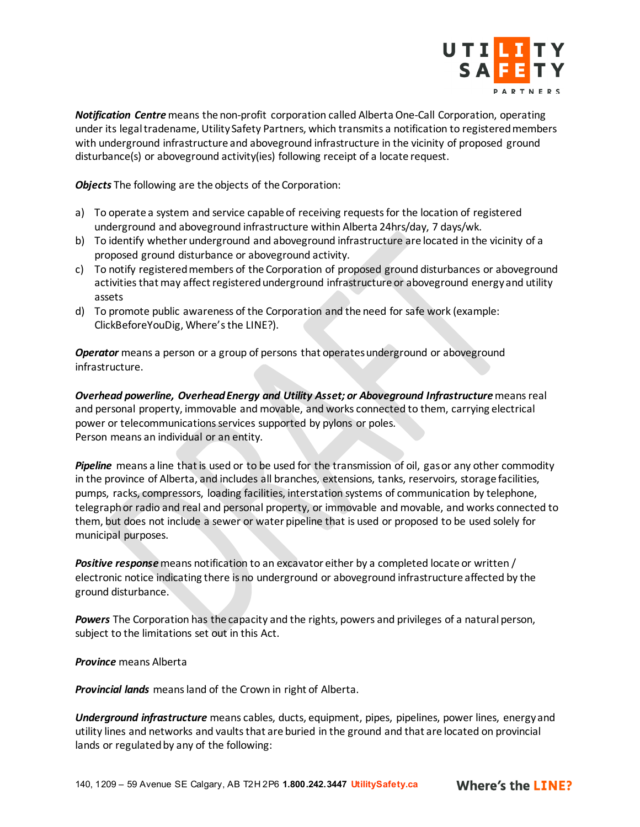

*Notification Centre*means the non-profit corporation called Alberta One-Call Corporation, operating under its legal tradename, Utility Safety Partners, which transmits a notification to registered members with underground infrastructure and aboveground infrastructure in the vicinity of proposed ground disturbance(s) or aboveground activity(ies) following receipt of a locate request.

*Objects* The following are the objects of the Corporation:

- a) To operate a system and service capable of receiving requests for the location of registered underground and aboveground infrastructure within Alberta 24hrs/day, 7 days/wk.
- b) To identify whether underground and aboveground infrastructure are located in the vicinity of a proposed ground disturbance or aboveground activity.
- c) To notify registered members of the Corporation of proposed ground disturbances or aboveground activities that may affect registered underground infrastructure or aboveground energy and utility assets
- d) To promote public awareness of the Corporation and the need for safe work (example: ClickBeforeYouDig, Where's the LINE?).

*Operator* means a person or a group of persons that operates underground or aboveground infrastructure.

**Overhead powerline, Overhead Energy and Utility Asset; or Aboveground Infrastructure** means real and personal property, immovable and movable, and works connected to them, carrying electrical power or telecommunications services supported by pylons or poles. Person means an individual or an entity.

*Pipeline* means a line that is used or to be used for the transmission of oil, gas or any other commodity in the province of Alberta, and includes all branches, extensions, tanks, reservoirs, storage facilities, pumps, racks, compressors, loading facilities, interstation systems of communication by telephone, telegraph or radio and real and personal property, or immovable and movable, and works connected to them, but does not include a sewer or water pipeline that is used or proposed to be used solely for municipal purposes.

*Positive response* means notification to an excavator either by a completed locate or written / electronic notice indicating there is no underground or aboveground infrastructure affected by the ground disturbance.

*Powers* The Corporation has the capacity and the rights, powers and privileges of a natural person, subject to the limitations set out in this Act.

*Province* means Alberta

*Provincial lands* means land of the Crown in right of Alberta.

*Underground infrastructure* means cables, ducts, equipment, pipes, pipelines, power lines, energy and utility lines and networks and vaults that are buried in the ground and that are located on provincial lands or regulated by any of the following: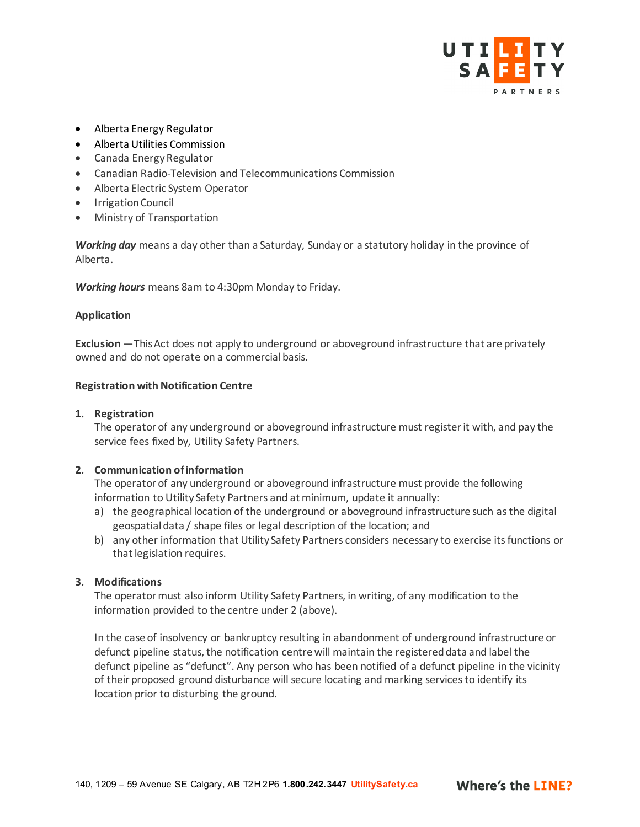

- Alberta Energy Regulator
- Alberta Utilities Commission
- Canada Energy Regulator
- Canadian Radio-Television and Telecommunications Commission
- Alberta Electric System Operator
- Irrigation Council
- Ministry of Transportation

*Working day* means a day other than a Saturday, Sunday or a statutory holiday in the province of Alberta.

*Working hours* means 8am to 4:30pm Monday to Friday.

## **Application**

**Exclusion** —This Act does not apply to underground or aboveground infrastructure that are privately owned and do not operate on a commercial basis.

#### **Registration with Notification Centre**

#### **1. Registration**

The operator of any underground or aboveground infrastructure must register it with, and pay the service fees fixed by, Utility Safety Partners.

## **2. Communication of information**

The operator of any underground or aboveground infrastructure must provide the following information to Utility Safety Partners and at minimum, update it annually:

- a) the geographical location of the underground or aboveground infrastructure such as the digital geospatial data / shape files or legal description of the location; and
- b) any other information that Utility Safety Partners considers necessary to exercise its functions or that legislation requires.

## **3. Modifications**

The operator must also inform Utility Safety Partners, in writing, of any modification to the information provided to the centre under 2 (above).

In the case of insolvency or bankruptcy resulting in abandonment of underground infrastructure or defunct pipeline status, the notification centre will maintain the registered data and label the defunct pipeline as "defunct". Any person who has been notified of a defunct pipeline in the vicinity of their proposed ground disturbance will secure locating and marking services to identify its location prior to disturbing the ground.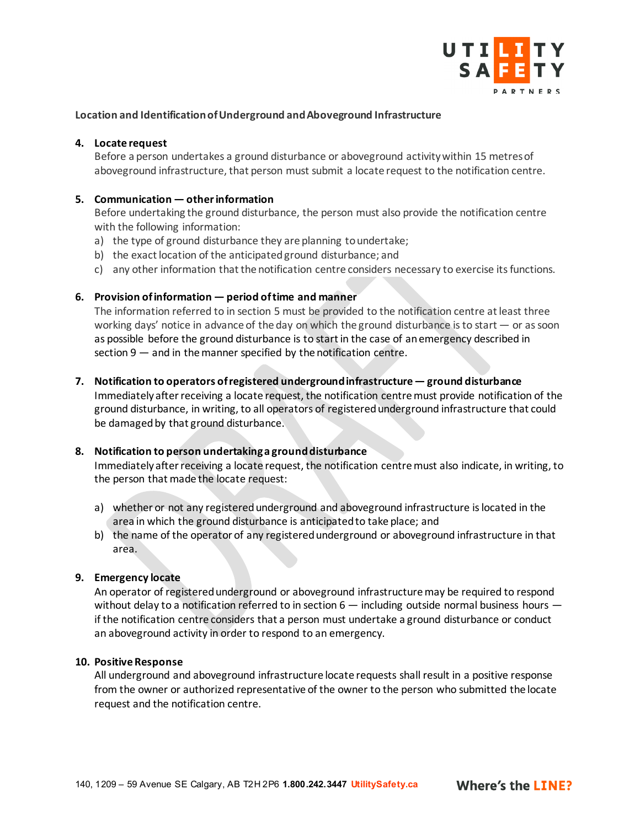

## **Location and Identification of Underground and Aboveground Infrastructure**

#### **4. Locate request**

Before a person undertakes a ground disturbance or aboveground activity within 15 metresof aboveground infrastructure, that person must submit a locate request to the notification centre.

#### **5. Communication — other information**

Before undertaking the ground disturbance, the person must also provide the notification centre with the following information:

- a) the type of ground disturbance they are planning to undertake;
- b) the exact location of the anticipated ground disturbance; and
- c) any other information that the notification centre considers necessary to exercise its functions.

#### **6. Provision of information — period of time and manner**

The information referred to in section 5 must be provided to the notification centre at least three working days' notice in advance of the day on which the ground disturbance is to start — or as soon as possible before the ground disturbance is to start in the case of an emergency described in section 9 — and in the manner specified by the notification centre.

**7. Notification to operators of registered underground infrastructure — ground disturbance**

Immediately after receiving a locate request, the notification centre must provide notification of the ground disturbance, in writing, to all operators of registered underground infrastructure that could be damaged by that ground disturbance.

## **8. Notification to person undertaking a ground disturbance**

Immediately after receiving a locate request, the notification centre must also indicate, in writing, to the person that made the locate request:

- a) whether or not any registered underground and aboveground infrastructure is located in the area in which the ground disturbance is anticipated to take place; and
- b) the name of the operator of any registered underground or aboveground infrastructure in that area.

## **9. Emergency locate**

An operator of registered underground or aboveground infrastructure may be required to respond without delay to a notification referred to in section 6 — including outside normal business hours if the notification centre considers that a person must undertake a ground disturbance or conduct an aboveground activity in order to respond to an emergency.

#### **10. Positive Response**

All underground and aboveground infrastructure locate requests shall result in a positive response from the owner or authorized representative of the owner to the person who submitted the locate request and the notification centre.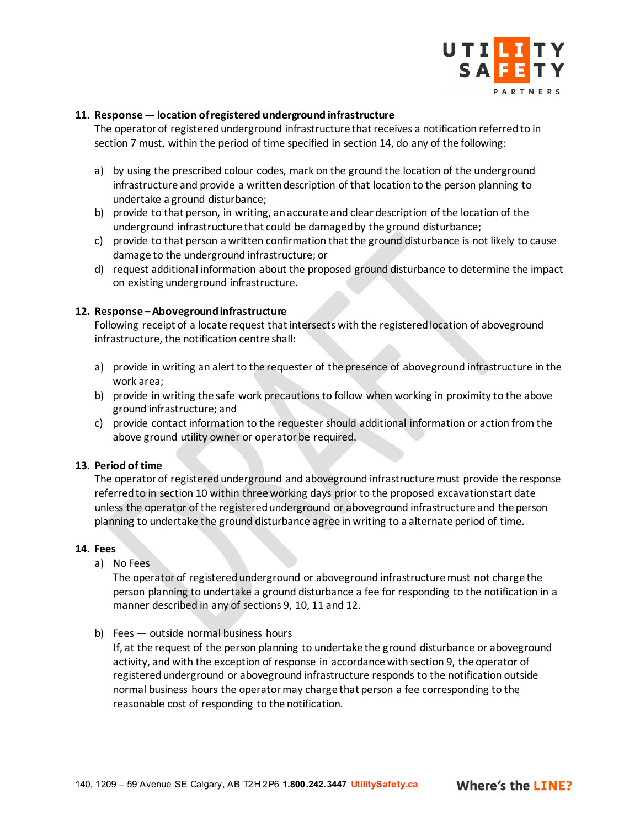

## **11. Response — location of registered underground infrastructure**

The operator of registered underground infrastructure that receives a notification referred to in section 7 must, within the period of time specified in section 14, do any of the following:

- a) by using the prescribed colour codes, mark on the ground the location of the underground infrastructure and provide a written description of that location to the person planning to undertake a ground disturbance;
- b) provide to that person, in writing, an accurate and clear description of the location of the underground infrastructure that could be damaged by the ground disturbance;
- c) provide to that person a written confirmation that the ground disturbance is not likely to cause damage to the underground infrastructure; or
- d) request additional information about the proposed ground disturbance to determine the impact on existing underground infrastructure.

## **12. Response –Aboveground infrastructure**

Following receipt of a locate request that intersects with the registered location of aboveground infrastructure, the notification centre shall:

- a) provide in writing an alert to the requester of the presence of aboveground infrastructure in the work area;
- b) provide in writing the safe work precautions to follow when working in proximity to the above ground infrastructure; and
- c) provide contact information to the requester should additional information or action from the above ground utility owner or operator be required.

#### **13. Period of time**

The operator of registered underground and aboveground infrastructure must provide the response referred to in section 10 within three working days prior to the proposed excavation start date unless the operator of the registered underground or aboveground infrastructure and the person planning to undertake the ground disturbance agree in writing to a alternate period of time.

#### **14. Fees**

a) No Fees

The operator of registered underground or aboveground infrastructure must not charge the person planning to undertake a ground disturbance a fee for responding to the notification in a manner described in any of sections 9, 10, 11 and 12.

b) Fees — outside normal business hours

If, at the request of the person planning to undertake the ground disturbance or aboveground activity, and with the exception of response in accordance with section 9, the operator of registered underground or aboveground infrastructure responds to the notification outside normal business hours the operator may charge that person a fee corresponding to the reasonable cost of responding to the notification.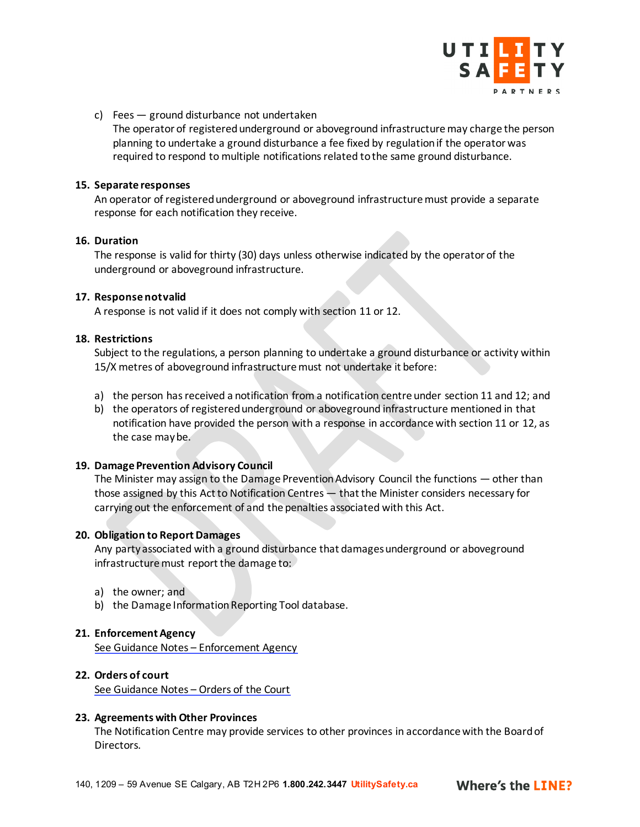

c) Fees — ground disturbance not undertaken

The operator of registered underground or aboveground infrastructure may charge the person planning to undertake a ground disturbance a fee fixed by regulation if the operator was required to respond to multiple notifications related to the same ground disturbance.

#### **15. Separate responses**

An operator of registered underground or aboveground infrastructure must provide a separate response for each notification they receive.

#### **16. Duration**

The response is valid for thirty (30) days unless otherwise indicated by the operator of the underground or aboveground infrastructure.

#### **17. Response not valid**

A response is not valid if it does not comply with section 11 or 12.

## **18. Restrictions**

Subject to the regulations, a person planning to undertake a ground disturbance or activity within 15/X metres of aboveground infrastructure must not undertake it before:

- a) the person has received a notification from a notification centre under section 11 and 12; and
- b) the operators of registered underground or aboveground infrastructure mentioned in that notification have provided the person with a response in accordance with section 11 or 12, as the case may be.

## **19. Damage Prevention Advisory Council**

The Minister may assign to the Damage Prevention Advisory Council the functions — other than those assigned by this Act to Notification Centres — that the Minister considers necessary for carrying out the enforcement of and the penalties associated with this Act.

## **20. Obligation to Report Damages**

Any party associated with a ground disturbance that damages underground or aboveground infrastructure must report the damage to:

- a) the owner; and
- b) the Damage Information Reporting Tool database.

## **21. Enforcement Agency**

[See Guidance Notes –](#page-7-0) Enforcement Agency

## **22. Orders of court**

[See Guidance Notes –](#page-7-0) Orders of the Court

## **23. Agreements with Other Provinces**

The Notification Centre may provide services to other provinces in accordance with the Board of Directors.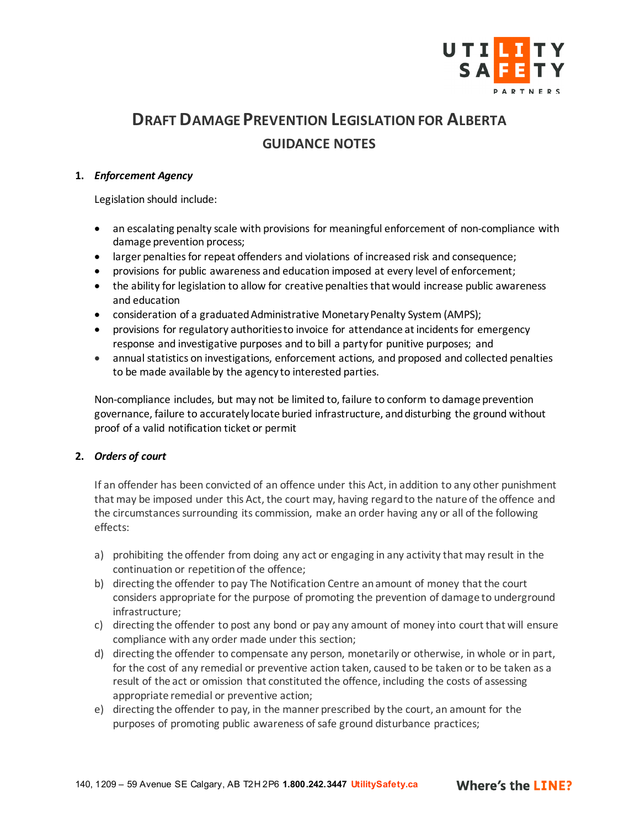

# <span id="page-7-0"></span>**DRAFT DAMAGE PREVENTION LEGISLATION FOR ALBERTA GUIDANCE NOTES**

## **1.** *Enforcement Agency*

Legislation should include:

- an escalating penalty scale with provisions for meaningful enforcement of non-compliance with damage prevention process;
- larger penalties for repeat offenders and violations of increased risk and consequence;
- provisions for public awareness and education imposed at every level of enforcement;
- the ability for legislation to allow for creative penalties that would increase public awareness and education
- consideration of a graduated Administrative Monetary Penalty System (AMPS);
- provisions for regulatory authorities to invoice for attendance at incidents for emergency response and investigative purposes and to bill a party for punitive purposes; and
- annual statistics on investigations, enforcement actions, and proposed and collected penalties to be made available by the agency to interested parties.

Non-compliance includes, but may not be limited to, failure to conform to damage prevention governance, failure to accurately locate buried infrastructure, and disturbing the ground without proof of a valid notification ticket or permit

## **2.** *Orders of court*

If an offender has been convicted of an offence under this Act, in addition to any other punishment that may be imposed under this Act, the court may, having regard to the nature of the offence and the circumstances surrounding its commission, make an order having any or all of the following effects:

- a) prohibiting the offender from doing any act or engaging in any activity that may result in the continuation or repetition of the offence;
- b) directing the offender to pay The Notification Centre an amount of money that the court considers appropriate for the purpose of promoting the prevention of damage to underground infrastructure;
- c) directing the offender to post any bond or pay any amount of money into court that will ensure compliance with any order made under this section;
- d) directing the offender to compensate any person, monetarily or otherwise, in whole or in part, for the cost of any remedial or preventive action taken, caused to be taken or to be taken as a result of the act or omission that constituted the offence, including the costs of assessing appropriate remedial or preventive action;
- e) directing the offender to pay, in the manner prescribed by the court, an amount for the purposes of promoting public awareness of safe ground disturbance practices;